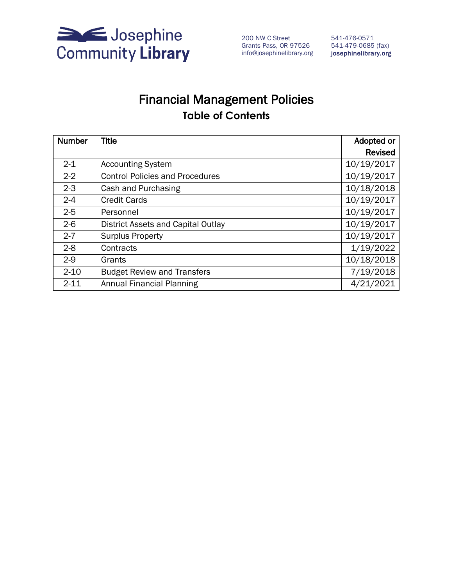

200 NW C Street Grants Pass, OR 97526 info@josephinelibrary.org

541-476-0571 541-479-0685 (fax) josephinelibrary.org

# Financial Management Policies **Table of Contents**

| <b>Number</b> | <b>Title</b>                           | Adopted or     |
|---------------|----------------------------------------|----------------|
|               |                                        | <b>Revised</b> |
| $2 - 1$       | <b>Accounting System</b>               | 10/19/2017     |
| $2 - 2$       | <b>Control Policies and Procedures</b> | 10/19/2017     |
| $2 - 3$       | Cash and Purchasing                    | 10/18/2018     |
| $2 - 4$       | <b>Credit Cards</b>                    | 10/19/2017     |
| $2 - 5$       | Personnel                              | 10/19/2017     |
| $2 - 6$       | District Assets and Capital Outlay     | 10/19/2017     |
| $2 - 7$       | <b>Surplus Property</b>                | 10/19/2017     |
| $2-8$         | Contracts                              | 1/19/2022      |
| $2-9$         | Grants                                 | 10/18/2018     |
| $2 - 10$      | <b>Budget Review and Transfers</b>     | 7/19/2018      |
| $2 - 11$      | <b>Annual Financial Planning</b>       | 4/21/2021      |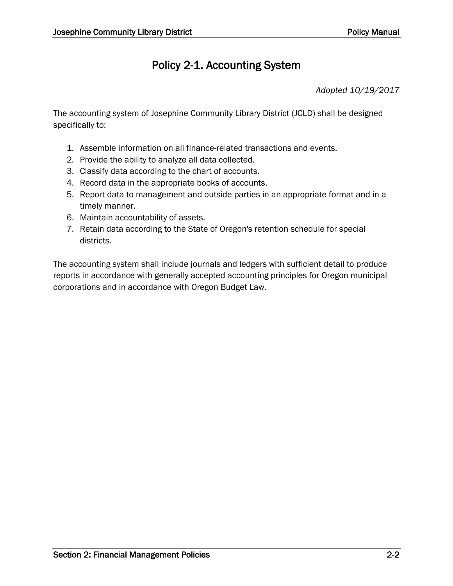## Policy 2-1. Accounting System

*Adopted 10/19/2017*

The accounting system of Josephine Community Library District (JCLD) shall be designed specifically to:

- 1. Assemble information on all finance-related transactions and events.
- 2. Provide the ability to analyze all data collected.
- 3. Classify data according to the chart of accounts.
- 4. Record data in the appropriate books of accounts.
- 5. Report data to management and outside parties in an appropriate format and in a timely manner.
- 6. Maintain accountability of assets.
- 7. Retain data according to the State of Oregon's retention schedule for special districts.

The accounting system shall include journals and ledgers with sufficient detail to produce reports in accordance with generally accepted accounting principles for Oregon municipal corporations and in accordance with Oregon Budget Law.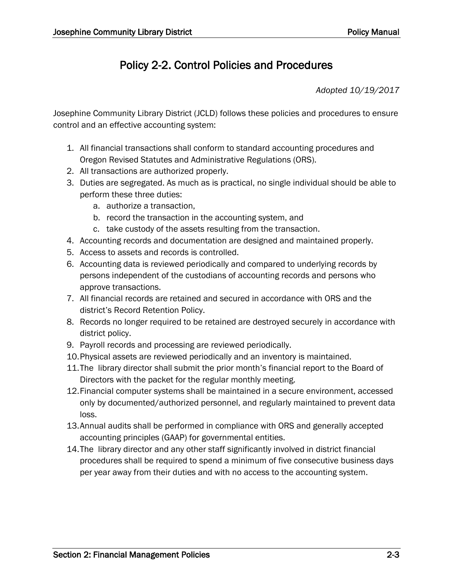# Policy 2-2. Control Policies and Procedures

*Adopted 10/19/2017*

Josephine Community Library District (JCLD) follows these policies and procedures to ensure control and an effective accounting system:

- 1. All financial transactions shall conform to standard accounting procedures and Oregon Revised Statutes and Administrative Regulations (ORS).
- 2. All transactions are authorized properly.
- 3. Duties are segregated. As much as is practical, no single individual should be able to perform these three duties:
	- a. authorize a transaction,
	- b. record the transaction in the accounting system, and
	- c. take custody of the assets resulting from the transaction.
- 4. Accounting records and documentation are designed and maintained properly.
- 5. Access to assets and records is controlled.
- 6. Accounting data is reviewed periodically and compared to underlying records by persons independent of the custodians of accounting records and persons who approve transactions.
- 7. All financial records are retained and secured in accordance with ORS and the district's Record Retention Policy.
- 8. Records no longer required to be retained are destroyed securely in accordance with district policy.
- 9. Payroll records and processing are reviewed periodically.
- 10.Physical assets are reviewed periodically and an inventory is maintained.
- 11.The library director shall submit the prior month's financial report to the Board of Directors with the packet for the regular monthly meeting.
- 12.Financial computer systems shall be maintained in a secure environment, accessed only by documented/authorized personnel, and regularly maintained to prevent data loss.
- 13.Annual audits shall be performed in compliance with ORS and generally accepted accounting principles (GAAP) for governmental entities.
- 14.The library director and any other staff significantly involved in district financial procedures shall be required to spend a minimum of five consecutive business days per year away from their duties and with no access to the accounting system.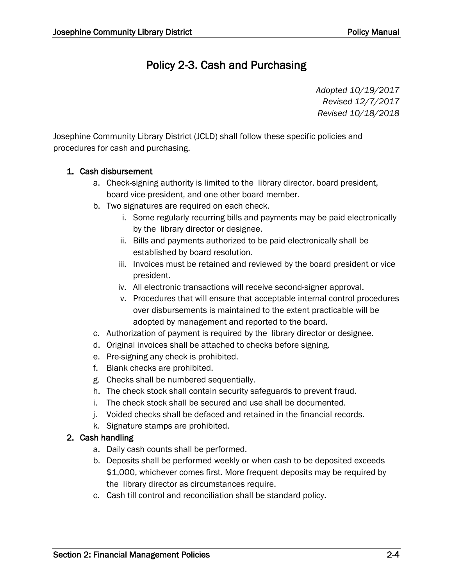# Policy 2-3. Cash and Purchasing

*Adopted 10/19/2017 Revised 12/7/2017 Revised 10/18/2018*

Josephine Community Library District (JCLD) shall follow these specific policies and procedures for cash and purchasing.

### 1. Cash disbursement

- a. Check-signing authority is limited to the library director, board president, board vice-president, and one other board member.
- b. Two signatures are required on each check.
	- i. Some regularly recurring bills and payments may be paid electronically by the library director or designee.
	- ii. Bills and payments authorized to be paid electronically shall be established by board resolution.
	- iii. Invoices must be retained and reviewed by the board president or vice president.
	- iv. All electronic transactions will receive second-signer approval.
	- v. Procedures that will ensure that acceptable internal control procedures over disbursements is maintained to the extent practicable will be adopted by management and reported to the board.
- c. Authorization of payment is required by the library director or designee.
- d. Original invoices shall be attached to checks before signing.
- e. Pre-signing any check is prohibited.
- f. Blank checks are prohibited.
- g. Checks shall be numbered sequentially.
- h. The check stock shall contain security safeguards to prevent fraud.
- i. The check stock shall be secured and use shall be documented.
- j. Voided checks shall be defaced and retained in the financial records.
- k. Signature stamps are prohibited.

### 2. Cash handling

- a. Daily cash counts shall be performed.
- b. Deposits shall be performed weekly or when cash to be deposited exceeds \$1,000, whichever comes first. More frequent deposits may be required by the library director as circumstances require.
- c. Cash till control and reconciliation shall be standard policy.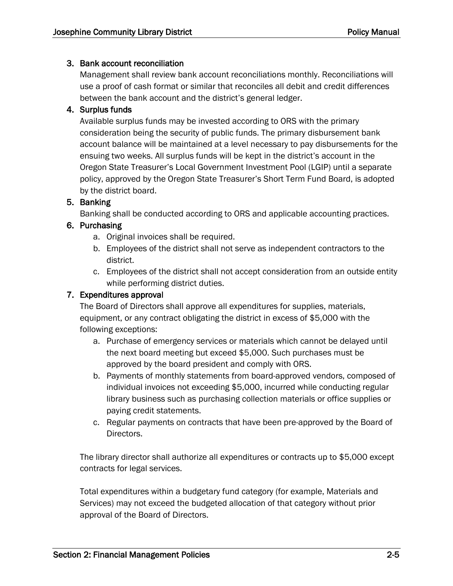#### 3. Bank account reconciliation

Management shall review bank account reconciliations monthly. Reconciliations will use a proof of cash format or similar that reconciles all debit and credit differences between the bank account and the district's general ledger.

### 4. Surplus funds

Available surplus funds may be invested according to ORS with the primary consideration being the security of public funds. The primary disbursement bank account balance will be maintained at a level necessary to pay disbursements for the ensuing two weeks. All surplus funds will be kept in the district's account in the Oregon State Treasurer's Local Government Investment Pool (LGIP) until a separate policy, approved by the Oregon State Treasurer's Short Term Fund Board, is adopted by the district board.

#### 5. Banking

Banking shall be conducted according to ORS and applicable accounting practices.

#### 6. Purchasing

- a. Original invoices shall be required.
- b. Employees of the district shall not serve as independent contractors to the district.
- c. Employees of the district shall not accept consideration from an outside entity while performing district duties.

#### 7. Expenditures approval

The Board of Directors shall approve all expenditures for supplies, materials, equipment, or any contract obligating the district in excess of \$5,000 with the following exceptions:

- a. Purchase of emergency services or materials which cannot be delayed until the next board meeting but exceed \$5,000. Such purchases must be approved by the board president and comply with ORS.
- b. Payments of monthly statements from board-approved vendors, composed of individual invoices not exceeding \$5,000, incurred while conducting regular library business such as purchasing collection materials or office supplies or paying credit statements.
- c. Regular payments on contracts that have been pre-approved by the Board of Directors.

The library director shall authorize all expenditures or contracts up to \$5,000 except contracts for legal services.

Total expenditures within a budgetary fund category (for example, Materials and Services) may not exceed the budgeted allocation of that category without prior approval of the Board of Directors.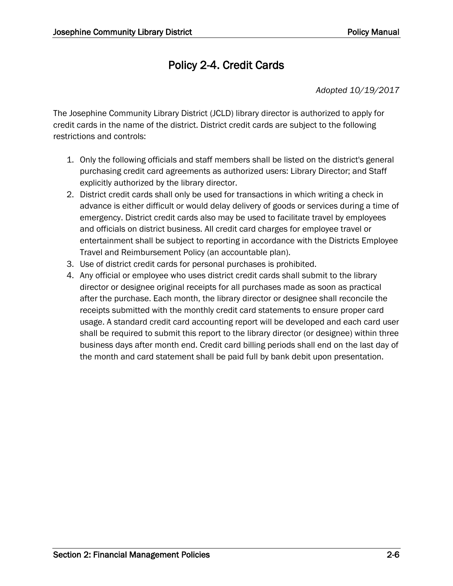# Policy 2-4. Credit Cards

*Adopted 10/19/2017*

The Josephine Community Library District (JCLD) library director is authorized to apply for credit cards in the name of the district. District credit cards are subject to the following restrictions and controls:

- 1. Only the following officials and staff members shall be listed on the district's general purchasing credit card agreements as authorized users: Library Director; and Staff explicitly authorized by the library director.
- 2. District credit cards shall only be used for transactions in which writing a check in advance is either difficult or would delay delivery of goods or services during a time of emergency. District credit cards also may be used to facilitate travel by employees and officials on district business. All credit card charges for employee travel or entertainment shall be subject to reporting in accordance with the Districts Employee Travel and Reimbursement Policy (an accountable plan).
- 3. Use of district credit cards for personal purchases is prohibited.
- 4. Any official or employee who uses district credit cards shall submit to the library director or designee original receipts for all purchases made as soon as practical after the purchase. Each month, the library director or designee shall reconcile the receipts submitted with the monthly credit card statements to ensure proper card usage. A standard credit card accounting report will be developed and each card user shall be required to submit this report to the library director (or designee) within three business days after month end. Credit card billing periods shall end on the last day of the month and card statement shall be paid full by bank debit upon presentation.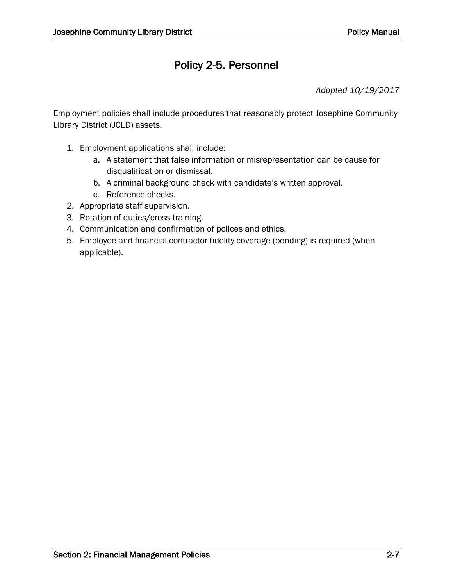# Policy 2-5. Personnel

*Adopted 10/19/2017*

Employment policies shall include procedures that reasonably protect Josephine Community Library District (JCLD) assets.

- 1. Employment applications shall include:
	- a. A statement that false information or misrepresentation can be cause for disqualification or dismissal.
	- b. A criminal background check with candidate's written approval.
	- c. Reference checks.
- 2. Appropriate staff supervision.
- 3. Rotation of duties/cross-training.
- 4. Communication and confirmation of polices and ethics.
- 5. Employee and financial contractor fidelity coverage (bonding) is required (when applicable).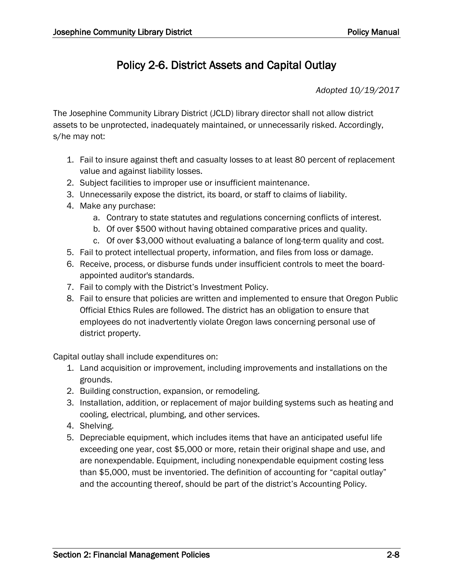## Policy 2-6. District Assets and Capital Outlay

*Adopted 10/19/2017*

The Josephine Community Library District (JCLD) library director shall not allow district assets to be unprotected, inadequately maintained, or unnecessarily risked. Accordingly, s/he may not:

- 1. Fail to insure against theft and casualty losses to at least 80 percent of replacement value and against liability losses.
- 2. Subject facilities to improper use or insufficient maintenance.
- 3. Unnecessarily expose the district, its board, or staff to claims of liability.
- 4. Make any purchase:
	- a. Contrary to state statutes and regulations concerning conflicts of interest.
	- b. Of over \$500 without having obtained comparative prices and quality.
	- c. Of over \$3,000 without evaluating a balance of long-term quality and cost.
- 5. Fail to protect intellectual property, information, and files from loss or damage.
- 6. Receive, process, or disburse funds under insufficient controls to meet the boardappointed auditor's standards.
- 7. Fail to comply with the District's Investment Policy.
- 8. Fail to ensure that policies are written and implemented to ensure that Oregon Public Official Ethics Rules are followed. The district has an obligation to ensure that employees do not inadvertently violate Oregon laws concerning personal use of district property.

Capital outlay shall include expenditures on:

- 1. Land acquisition or improvement, including improvements and installations on the grounds.
- 2. Building construction, expansion, or remodeling.
- 3. Installation, addition, or replacement of major building systems such as heating and cooling, electrical, plumbing, and other services.
- 4. Shelving.
- 5. Depreciable equipment, which includes items that have an anticipated useful life exceeding one year, cost \$5,000 or more, retain their original shape and use, and are nonexpendable. Equipment, including nonexpendable equipment costing less than \$5,000, must be inventoried. The definition of accounting for "capital outlay" and the accounting thereof, should be part of the district's Accounting Policy.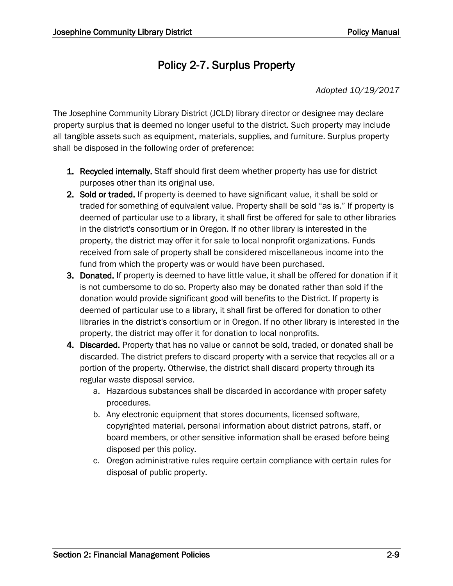## Policy 2-7. Surplus Property

*Adopted 10/19/2017*

The Josephine Community Library District (JCLD) library director or designee may declare property surplus that is deemed no longer useful to the district. Such property may include all tangible assets such as equipment, materials, supplies, and furniture. Surplus property shall be disposed in the following order of preference:

- 1. Recycled internally. Staff should first deem whether property has use for district purposes other than its original use.
- 2. Sold or traded. If property is deemed to have significant value, it shall be sold or traded for something of equivalent value. Property shall be sold "as is." If property is deemed of particular use to a library, it shall first be offered for sale to other libraries in the district's consortium or in Oregon. If no other library is interested in the property, the district may offer it for sale to local nonprofit organizations. Funds received from sale of property shall be considered miscellaneous income into the fund from which the property was or would have been purchased.
- 3. Donated. If property is deemed to have little value, it shall be offered for donation if it is not cumbersome to do so. Property also may be donated rather than sold if the donation would provide significant good will benefits to the District. If property is deemed of particular use to a library, it shall first be offered for donation to other libraries in the district's consortium or in Oregon. If no other library is interested in the property, the district may offer it for donation to local nonprofits.
- 4. Discarded. Property that has no value or cannot be sold, traded, or donated shall be discarded. The district prefers to discard property with a service that recycles all or a portion of the property. Otherwise, the district shall discard property through its regular waste disposal service.
	- a. Hazardous substances shall be discarded in accordance with proper safety procedures.
	- b. Any electronic equipment that stores documents, licensed software, copyrighted material, personal information about district patrons, staff, or board members, or other sensitive information shall be erased before being disposed per this policy.
	- c. Oregon administrative rules require certain compliance with certain rules for disposal of public property.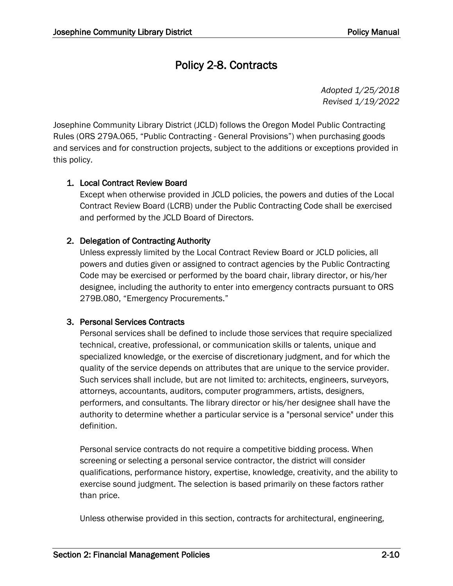# Policy 2-8. Contracts

*Adopted 1/25/2018 Revised 1/19/2022*

Josephine Community Library District (JCLD) follows the Oregon Model Public Contracting Rules (ORS 279A.065, "Public Contracting - General Provisions") when purchasing goods and services and for construction projects, subject to the additions or exceptions provided in this policy.

### 1. Local Contract Review Board

Except when otherwise provided in JCLD policies, the powers and duties of the Local Contract Review Board (LCRB) under the Public Contracting Code shall be exercised and performed by the JCLD Board of Directors.

### 2. Delegation of Contracting Authority

Unless expressly limited by the Local Contract Review Board or JCLD policies, all powers and duties given or assigned to contract agencies by the Public Contracting Code may be exercised or performed by the board chair, library director, or his/her designee, including the authority to enter into emergency contracts pursuant to ORS 279B.080, "Emergency Procurements."

### 3. Personal Services Contracts

Personal services shall be defined to include those services that require specialized technical, creative, professional, or communication skills or talents, unique and specialized knowledge, or the exercise of discretionary judgment, and for which the quality of the service depends on attributes that are unique to the service provider. Such services shall include, but are not limited to: architects, engineers, surveyors, attorneys, accountants, auditors, computer programmers, artists, designers, performers, and consultants. The library director or his/her designee shall have the authority to determine whether a particular service is a "personal service" under this definition.

Personal service contracts do not require a competitive bidding process. When screening or selecting a personal service contractor, the district will consider qualifications, performance history, expertise, knowledge, creativity, and the ability to exercise sound judgment. The selection is based primarily on these factors rather than price.

Unless otherwise provided in this section, contracts for architectural, engineering,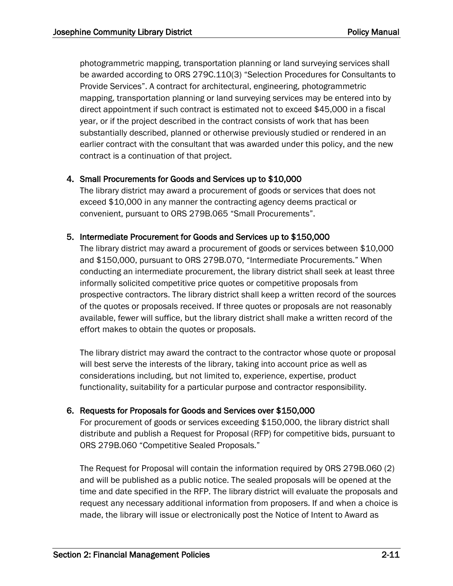photogrammetric mapping, transportation planning or land surveying services shall be awarded according to ORS 279C.110(3) "Selection Procedures for Consultants to Provide Services". A contract for architectural, engineering, photogrammetric mapping, transportation planning or land surveying services may be entered into by direct appointment if such contract is estimated not to exceed \$45,000 in a fiscal year, or if the project described in the contract consists of work that has been substantially described, planned or otherwise previously studied or rendered in an earlier contract with the consultant that was awarded under this policy, and the new contract is a continuation of that project.

#### 4. Small Procurements for Goods and Services up to \$10,000

The library district may award a procurement of goods or services that does not exceed \$10,000 in any manner the contracting agency deems practical or convenient, pursuant to ORS 279B.065 "Small Procurements".

#### 5. Intermediate Procurement for Goods and Services up to \$150,000

The library district may award a procurement of goods or services between \$10,000 and \$150,000, pursuant to ORS 279B.070, "Intermediate Procurements." When conducting an intermediate procurement, the library district shall seek at least three informally solicited competitive price quotes or competitive proposals from prospective contractors. The library district shall keep a written record of the sources of the quotes or proposals received. If three quotes or proposals are not reasonably available, fewer will suffice, but the library district shall make a written record of the effort makes to obtain the quotes or proposals.

The library district may award the contract to the contractor whose quote or proposal will best serve the interests of the library, taking into account price as well as considerations including, but not limited to, experience, expertise, product functionality, suitability for a particular purpose and contractor responsibility.

#### 6. Requests for Proposals for Goods and Services over \$150,000

For procurement of goods or services exceeding \$150,000, the library district shall distribute and publish a Request for Proposal (RFP) for competitive bids, pursuant to ORS 279B.060 "Competitive Sealed Proposals."

The Request for Proposal will contain the information required by ORS 279B.060 (2) and will be published as a public notice. The sealed proposals will be opened at the time and date specified in the RFP. The library district will evaluate the proposals and request any necessary additional information from proposers. If and when a choice is made, the library will issue or electronically post the Notice of Intent to Award as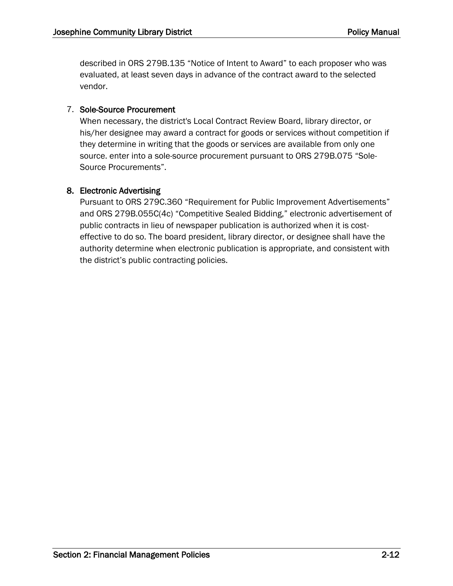described in ORS 279B.135 "Notice of Intent to Award" to each proposer who was evaluated, at least seven days in advance of the contract award to the selected vendor.

### 7. Sole-Source Procurement

When necessary, the district's Local Contract Review Board, library director, or his/her designee may award a contract for goods or services without competition if they determine in writing that the goods or services are available from only one source. enter into a sole-source procurement pursuant to ORS 279B.075 "Sole-Source Procurements".

#### 8. Electronic Advertising

Pursuant to ORS 279C.360 "Requirement for Public Improvement Advertisements" and ORS 279B.055C(4c) "Competitive Sealed Bidding," electronic advertisement of public contracts in lieu of newspaper publication is authorized when it is costeffective to do so. The board president, library director, or designee shall have the authority determine when electronic publication is appropriate, and consistent with the district's public contracting policies.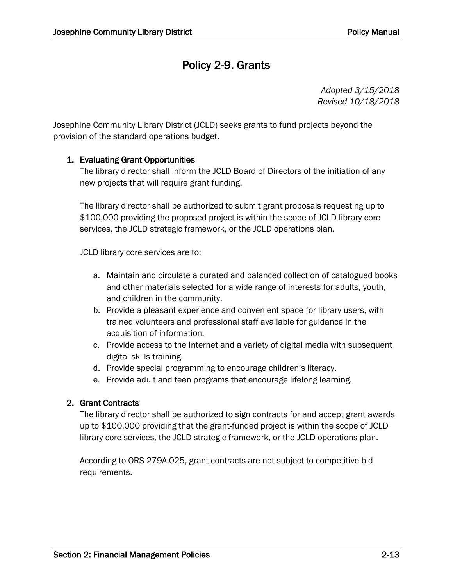# Policy 2-9. Grants

*Adopted 3/15/2018 Revised 10/18/2018*

Josephine Community Library District (JCLD) seeks grants to fund projects beyond the provision of the standard operations budget.

#### 1. Evaluating Grant Opportunities

The library director shall inform the JCLD Board of Directors of the initiation of any new projects that will require grant funding.

The library director shall be authorized to submit grant proposals requesting up to \$100,000 providing the proposed project is within the scope of JCLD library core services, the JCLD strategic framework, or the JCLD operations plan.

JCLD library core services are to:

- a. Maintain and circulate a curated and balanced collection of catalogued books and other materials selected for a wide range of interests for adults, youth, and children in the community.
- b. Provide a pleasant experience and convenient space for library users, with trained volunteers and professional staff available for guidance in the acquisition of information.
- c. Provide access to the Internet and a variety of digital media with subsequent digital skills training.
- d. Provide special programming to encourage children's literacy.
- e. Provide adult and teen programs that encourage lifelong learning.

#### 2. Grant Contracts

The library director shall be authorized to sign contracts for and accept grant awards up to \$100,000 providing that the grant-funded project is within the scope of JCLD library core services, the JCLD strategic framework, or the JCLD operations plan.

According to ORS 279A.025, grant contracts are not subject to competitive bid requirements.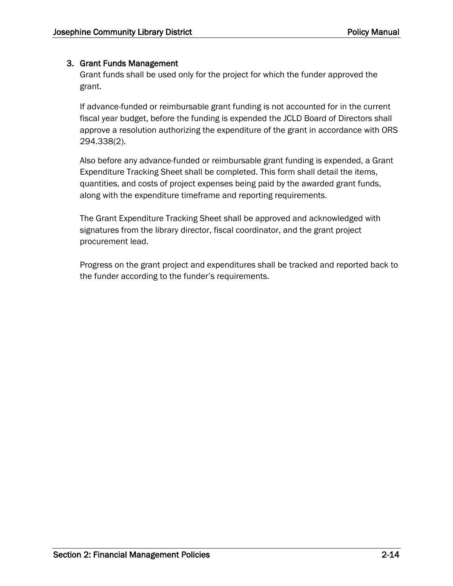### 3. Grant Funds Management

Grant funds shall be used only for the project for which the funder approved the grant.

If advance-funded or reimbursable grant funding is not accounted for in the current fiscal year budget, before the funding is expended the JCLD Board of Directors shall approve a resolution authorizing the expenditure of the grant in accordance with ORS 294.338(2).

Also before any advance-funded or reimbursable grant funding is expended, a Grant Expenditure Tracking Sheet shall be completed. This form shall detail the items, quantities, and costs of project expenses being paid by the awarded grant funds, along with the expenditure timeframe and reporting requirements.

The Grant Expenditure Tracking Sheet shall be approved and acknowledged with signatures from the library director, fiscal coordinator, and the grant project procurement lead.

Progress on the grant project and expenditures shall be tracked and reported back to the funder according to the funder's requirements.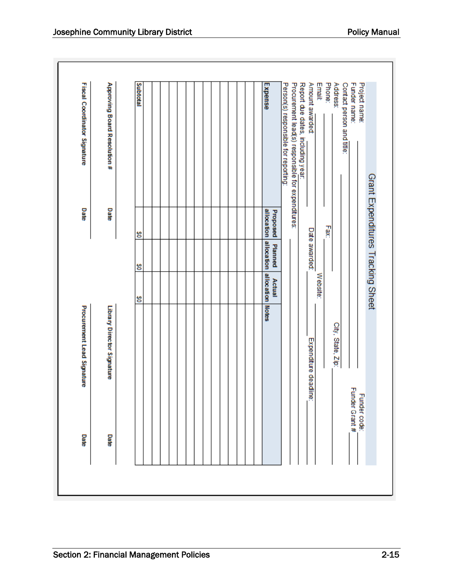| Date           | Procurement Lead Signature |                            |               | Date                              | Fiscal Coordinator Signature                      |               |
|----------------|----------------------------|----------------------------|---------------|-----------------------------------|---------------------------------------------------|---------------|
| Date           | Library Director Signature |                            |               | Date                              | Approving Board Resolution #                      |               |
|                |                            |                            |               |                                   |                                                   |               |
|                |                            | g                          | g             | g                                 |                                                   | Subtotal      |
|                |                            |                            |               |                                   |                                                   |               |
|                |                            |                            |               |                                   |                                                   |               |
|                |                            |                            |               |                                   |                                                   |               |
|                |                            |                            |               |                                   |                                                   |               |
|                |                            |                            |               |                                   |                                                   |               |
|                |                            |                            |               |                                   |                                                   |               |
|                |                            |                            |               |                                   |                                                   |               |
|                |                            |                            |               |                                   |                                                   |               |
|                |                            |                            |               |                                   |                                                   |               |
|                |                            |                            |               |                                   |                                                   |               |
|                |                            |                            |               |                                   |                                                   |               |
|                |                            |                            |               |                                   |                                                   |               |
|                |                            | allocation Notes<br>Actual | Planned       | allocation allocation<br>Proposed |                                                   | Expense       |
|                |                            |                            |               |                                   | Person(s) responsible for reporting:              |               |
|                |                            |                            |               |                                   | Procurement lead(s) responsible for expenditures: |               |
|                |                            |                            |               |                                   | Report due dates, including year:                 |               |
|                | Expenditure deadline:      |                            | Date awarded: |                                   | Amount awarded                                    |               |
|                |                            | Website:                   |               |                                   |                                                   | Emait         |
|                |                            |                            |               | Fax:                              |                                                   | Phone:        |
|                | City, State, Zip:          |                            |               |                                   |                                                   | Address:      |
|                |                            |                            |               |                                   | Contact person and title:                         |               |
| Funder Grant # |                            |                            |               |                                   |                                                   | Funder name:  |
| Funder code:   |                            |                            |               |                                   |                                                   | Project name: |
|                |                            |                            |               |                                   | Grant Expenditures Tracking Sheet                 |               |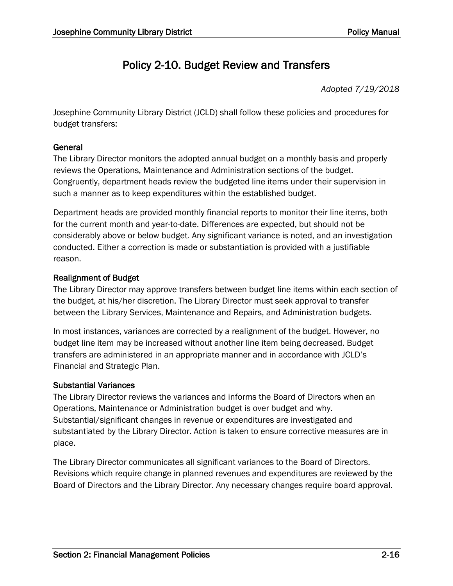# Policy 2-10. Budget Review and Transfers

*Adopted 7/19/2018*

Josephine Community Library District (JCLD) shall follow these policies and procedures for budget transfers:

### General

The Library Director monitors the adopted annual budget on a monthly basis and properly reviews the Operations, Maintenance and Administration sections of the budget. Congruently, department heads review the budgeted line items under their supervision in such a manner as to keep expenditures within the established budget.

Department heads are provided monthly financial reports to monitor their line items, both for the current month and year-to-date. Differences are expected, but should not be considerably above or below budget. Any significant variance is noted, and an investigation conducted. Either a correction is made or substantiation is provided with a justifiable reason.

### Realignment of Budget

The Library Director may approve transfers between budget line items within each section of the budget, at his/her discretion. The Library Director must seek approval to transfer between the Library Services, Maintenance and Repairs, and Administration budgets.

In most instances, variances are corrected by a realignment of the budget. However, no budget line item may be increased without another line item being decreased. Budget transfers are administered in an appropriate manner and in accordance with JCLD's Financial and Strategic Plan.

### Substantial Variances

The Library Director reviews the variances and informs the Board of Directors when an Operations, Maintenance or Administration budget is over budget and why. Substantial/significant changes in revenue or expenditures are investigated and substantiated by the Library Director. Action is taken to ensure corrective measures are in place.

The Library Director communicates all significant variances to the Board of Directors. Revisions which require change in planned revenues and expenditures are reviewed by the Board of Directors and the Library Director. Any necessary changes require board approval.